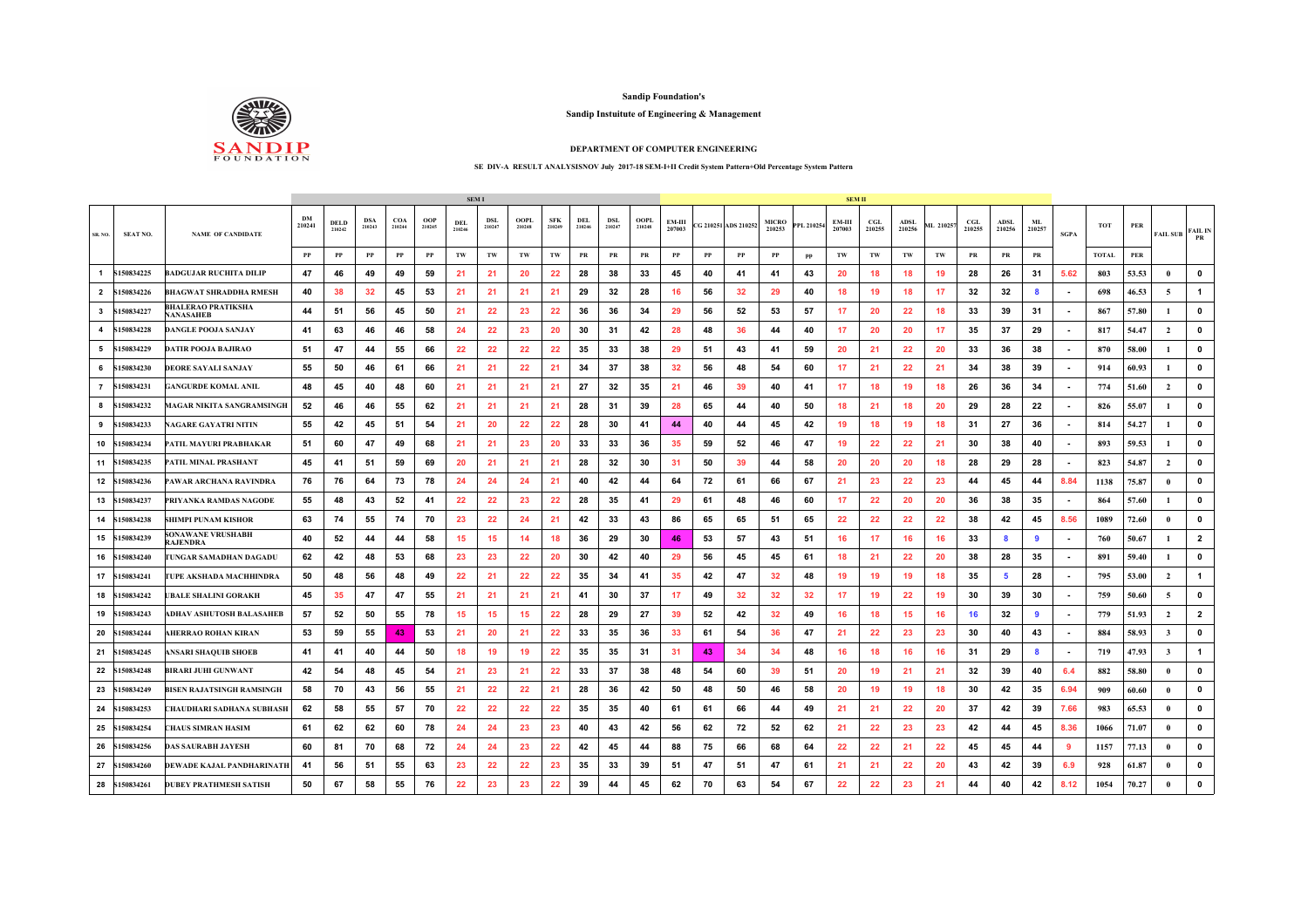

**Sandip Foundation's**

## **Sandip Instuitute of Engineering & Management**

## **DEPARTMENT OF COMPUTER ENGINEERING**

## **SE DIV-A RESULT ANALYSISNOV July 2017-18 SEM-I+II Credit System Pattern+Old Percentage System Pattern**

|                |                 |                                      |              |                       |                      |               |               | <b>SEMI</b>          |                      |                |                      |                      |                      |                |                  |    |                      |                        |            | SEM II           |                      |                       |           |                      |                |              |             |              |       |                |                      |
|----------------|-----------------|--------------------------------------|--------------|-----------------------|----------------------|---------------|---------------|----------------------|----------------------|----------------|----------------------|----------------------|----------------------|----------------|------------------|----|----------------------|------------------------|------------|------------------|----------------------|-----------------------|-----------|----------------------|----------------|--------------|-------------|--------------|-------|----------------|----------------------|
| SR. NO.        | <b>SEAT NO.</b> | <b>NAME OF CANDIDATE</b>             | DM<br>210241 | <b>DELD</b><br>210242 | <b>DSA</b><br>210243 | COA<br>210244 | OOP<br>210245 | <b>DEL</b><br>210246 | <b>DSL</b><br>210247 | OOPL<br>210248 | <b>SFK</b><br>210249 | <b>DEL</b><br>210246 | <b>DSL</b><br>210247 | OOPL<br>210248 | EM-III<br>207003 |    | CG 210251 ADS 210252 | <b>MICRO</b><br>210253 | PPL 210254 | EM-III<br>207003 | <b>CGL</b><br>210255 | <b>ADSL</b><br>210256 | ML 210257 | <b>CGL</b><br>210255 | ADSL<br>210256 | ML<br>210257 | <b>SGPA</b> | тот          | PER   | FAIL SUB       | <b>FAIL IN</b><br>PR |
|                |                 |                                      | $\bf PP$     | PP                    | PP                   | PP            | PP            | TW                   | TW                   | TW             | TW                   | PR                   | PR                   | PR             | $_{\rm PP}$      | PP | PP                   | PP                     | pp         | TW               | TW                   | TW                    | TW        | PR                   | PR             | PR           |             | <b>TOTAL</b> | PER   |                |                      |
| $\overline{1}$ | \$150834225     | BADGUJAR RUCHITA DILIP               | 47           | 46                    | 49                   | 49            | 59            | 21                   | 21                   | 20             | 22                   | 28                   | 38                   | 33             | 45               | 40 | 41                   | 41                     | 43         | 20               | 18                   | 18                    | 19        | 28                   | 26             | 31           | 5.62        | 803          | 53.53 |                | $\mathbf 0$          |
| $\overline{2}$ | S150834226      | BHAGWAT SHRADDHA RMESH               | 40           | 38                    | 32                   | 45            | 53            | 21                   | 21                   | 21             | 21                   | 29                   | 32                   | 28             | 16               | 56 | 32                   | 29                     | 40         | 18               | 19                   | 18                    | 17        | 32                   | 32             |              |             | 698          | 46.53 | 5              | $\overline{1}$       |
| $\mathbf{3}$   | \$150834227     | BHALERAO PRATIKSHA<br>NANASAHEB      | 44           | -51                   | 56                   | 45            | 50            | 21                   | 22                   | 23             | 22                   | 36                   | 36                   | 34             | 29               | 56 | 52                   | 53                     | 57         | 17               | 20                   | 22                    | 18        | 33                   | 39             | -31          |             | 867          | 57.80 |                | $\mathbf 0$          |
|                | 4 S150834228    | <b>DANGLE POOJA SANJAY</b>           | 41           | 63                    | 46                   | 46            | 58            | 24                   | 22                   | 23             | 20                   | 30                   | -31                  | 42             | 28               | 48 | 36                   | 44                     | 40         | 17               | 20                   | 20                    | 17        | 35                   | 37             | 29           |             | 817          | 54.47 | $\overline{2}$ | $\mathbf 0$          |
| 5              | S150834229      | DATIR POOJA BAJIRAO                  | 51           | 47                    | 44                   | 55            | 66            | 22                   | 22                   | 22             | 22                   | 35                   | 33                   | 38             | 29               | 51 | 43                   | 41                     | 59         | 20               | 21                   | 22                    | 20        | 33                   | 36             | 38           |             | 870          | 58.00 |                | $\mathbf 0$          |
| 6              | S150834230      | DEORE SAYALI SANJAY                  | 55           | 50                    | 46                   | 61            | 66            | 21                   | 21                   | 22             | 21                   | 34                   | 37                   | 38             | 32               | 56 | 48                   | 54                     | 60         | 17               | 21                   | 22                    | 21        | 34                   | 38             | 39           |             | 914          | 60.93 |                | $\mathbf 0$          |
|                | 7 S150834231    | GANGURDE KOMAL ANIL                  | 48           | 45                    | 40                   | 48            | 60            | 21                   | 21                   | 21             | 21                   | 27                   | 32                   | 35             | 21               | 46 | 39                   | 40                     | 41         | 17               | 18                   | 19                    | 18        | 26                   | 36             | 34           | ٠           | 774          | 51.60 | $\overline{2}$ | $\mathbf 0$          |
| 8              | \$150834232     | <b>IAGAR NIKITA SANGRAMSINGH</b>     | 52           | 46                    | 46                   | 55            | 62            | 21                   | 21                   | 21             | 21                   | 28                   | 31                   | 39             | 28               | 65 | 44                   | 40                     | 50         | 18               | 21                   | 18                    | 20        | 29                   | 28             | 22           |             | 826          | 55.07 |                | $\mathbf 0$          |
| 9              | \$150834233     | <b>AGARE GAYATRI NITIN</b>           | 55           | 42                    | 45                   | 51            | 54            | 21                   | 20                   | 22             | 22                   | 28                   | 30                   | 41             | 44               | 40 | 44                   | 45                     | 42         | 19               | 18                   | 19                    | 18        | 31                   | 27             | 36           |             | 814          | 54.27 |                | $\mathbf 0$          |
|                | 10 \$150834234  | PATIL MAYURI PRABHAKAR               | 51           | 60                    | 47                   | 49            | 68            | 21                   | 21                   | 23             | 20                   | 33                   | 33                   | 36             | 35               | 59 | 52                   | 46                     | 47         | 19               | 22                   | 22                    | 21        | 30                   | 38             | 40           | ٠           | 893          | 59.53 |                | $\mathbf 0$          |
|                | 11 S150834235   | ATIL MINAL PRASHANT                  | 45           | 41                    | 51                   | 59            | 69            | 20                   | 21                   | 21             | 21                   | 28                   | 32                   | 30             | 31               | 50 | 39                   | 44                     | 58         | 20               | 20                   | 20                    | 18        | 28                   | 29             | 28           |             | 823          | 54.87 | $\overline{2}$ | $\mathbf 0$          |
|                | 12 S150834236   | PAWAR ARCHANA RAVINDRA               | 76           | 76                    | 64                   | 73            | 78            | 24                   | 24                   | 24             | 21                   | 40                   | 42                   | 44             | 64               | 72 | 61                   | 66                     | 67         | 21               | 23                   | 22                    | 23        | 44                   | 45             | 44           | 8.84        | 1138         | 75.87 |                | $\mathbf 0$          |
| 13             | \$150834237     | PRIYANKA RAMDAS NAGODE               | 55           | 48                    | 43                   | 52            | -41           | 22                   | 22                   | 23             | 22                   | 28                   | 35                   | 41             | 29               | 61 | 48                   | 46                     | 60         | 17               | 22                   | 20                    | 20        | 36                   | 38             | 35           |             | 864          | 57.60 |                | $\mathbf 0$          |
|                | 14 S150834238   | HIMPI PUNAM KISHOR                   | 63           | 74                    | 55                   | 74            | 70            | 23                   | 22                   | 24             | 21                   | 42                   | 33                   | 43             | 86               | 65 | 65                   | 51                     | 65         | 22               | 22                   | 22                    | 22        | 38                   | 42             | 45           | 8.56        | 1089         | 72.60 |                | $\mathbf 0$          |
|                | 15 S150834239   | SONAWANE VRUSHABH<br><b>RAJENDRA</b> | 40           | 52                    | 44                   | 44            | 58            | 15                   | 15                   | 14             | 18                   | 36                   | 29                   | 30             | 46               | 53 | 57                   | 43                     | 51         | 16               | 17                   | 16                    | 16        | 33                   | 8              | 9            | ٠           | 760          | 50.67 |                | $\overline{2}$       |
|                | 16 S150834240   | 'UNGAR SAMADHAN DAGADU               | 62           | 42                    | 48                   | 53            | 68            | 23                   | 23                   | 22             | 20                   | 30                   | 42                   | 40             | 29               | 56 | 45                   | 45                     | 61         | 18               | 21                   | 22                    | 20        | 38                   | 28             | 35           |             | 891          | 59.40 |                | $\mathbf 0$          |
|                | 17 S150834241   | UPE AKSHADA MACHHINDRA               | 50           | 48                    | 56                   | 48            | 49            | 22                   | 21                   | 22             | 22                   | 35                   | 34                   | 41             | 35               | 42 | 47                   | 32                     | 48         | 19               | 19                   | 19                    | 18        | 35                   | 5              | 28           |             | 795          | 53.00 | $\overline{2}$ | $\mathbf{1}$         |
|                | 18 \$150834242  | <b>BALE SHALINI GORAKH</b>           | 45           | 35                    | 47                   | 47            | 55            | 21                   | 21                   | 21             | 21                   | 41                   | 30                   | 37             | 17               | 49 | 32                   | 32                     | 32         | 17               | 19                   | 22                    | 19        | 30                   | 39             | 30           | ٠           | 759          | 50.60 | 5              | $\mathbf{0}$         |
| 19             | S150834243      | DHAV ASHUTOSH BALASAHEB              | 57           | 52                    | 50                   | 55            | 78            | 15                   | 15                   | 15             | 22                   | 28                   | 29                   | 27             | 39               | 52 | 42                   | 32                     | 49         | 16               | 18                   | 15                    | 16        | 16                   | 32             | 9            |             | 779          | 51.93 | $\overline{2}$ | $\overline{2}$       |
| 20             | S150834244      | AHERRAO ROHAN KIRAN                  | 53           | 59                    | 55                   | 43            | 53            | 21                   | 20                   | 21             | 22                   | 33                   | 35                   | 36             | 33               | 61 | 54                   | 36                     | 47         | 21               | 22                   | 23                    | 23        | 30                   | 40             | 43           |             | 884          | 58.93 | 3              | $\mathbf 0$          |
|                | 21 S150834245   | <b>ANSARI SHAQUIB SHOEB</b>          | 41           | 41                    | 40                   | 44            | 50            | 18                   | 19                   | 19             | 22                   | 35                   | 35                   | 31             | -31              | 43 | 34                   | 34                     | 48         | 16               | 18                   | 16                    | 16        | 31                   | 29             |              |             | 719          | 47.93 | 3              | $\overline{1}$       |
|                | 22 S150834248   | <b>;IRARI JUHI GUNWANT</b>           | 42           | 54                    | 48                   | 45            | 54            | 21                   | 23                   | 21             | 22                   | 33                   | 37                   | 38             | 48               | 54 | 60                   | 39                     | 51         | 20               | 19                   | 21                    | 21        | 32                   | 39             | 40           | 6.4         | 882          | 58.80 |                | $\mathbf 0$          |
|                | 23 \$150834249  | <b>BISEN RAJATSINGH RAMSINGH</b>     | 58           | 70                    | 43                   | 56            | 55            | 21                   | 22                   | 22             | 21                   | 28                   | 36                   | 42             | 50               | 48 | 50                   | 46                     | 58         | 20               | 19                   | 19                    | 18        | 30                   | 42             | 35           | 6.94        | 909          | 60.60 |                | $\mathbf 0$          |
| 24             | \$150834253     | HAUDHARI SADHANA SUBHASH             | 62           | 58                    | 55                   | 57            | 70            | 22                   | 22                   | 22             | 22                   | 35                   | 35                   | 40             | 61               | 61 | 66                   | 44                     | 49         | 21               | 21                   | 22                    | 20        | 37                   | 42             | 39           | 7.66        | 983          | 65.53 |                | $\mathbf 0$          |
|                | 25 \$150834254  | <b>HAUS SIMRAN HASIM</b>             | 61           | 62                    | 62                   | 60            | 78            | 24                   | 24                   | 23             | 23                   | 40                   | 43                   | 42             | 56               | 62 | 72                   | 52                     | 62         | 21               | 22                   | 23                    | 23        | 42                   | 44             | 45           | 8.36        | 1066         | 71.07 |                | $\mathbf 0$          |
|                | 26 S150834256   | <b>DAS SAURABH JAYESH</b>            | 60           | 81                    | 70                   | 68            | 72            | 24                   | -24                  | 23             | 22                   | 42                   | 45                   | 44             | 88               | 75 | 66                   | 68                     | 64         | 22               | 22                   | 21                    | 22        | 45                   | 45             | 44           | -9          | 1157         | 77.13 |                | $\mathbf 0$          |
| 27             | S150834260      | DEWADE KAJAL PANDHARINATH            | 41           | 56                    | -51                  | 55            | 63            | 23                   | 22                   | 22             | 23                   | 35                   | 33                   | 39             | 51               | 47 | 51                   | 47                     | 61         | 21               | 21                   | 22                    | 20        | 43                   | 42             | 39           | 6.9         | 928          | 61.87 |                | 0                    |
|                | 28 \$150834261  | <b>DUBEY PRATHMESH SATISH</b>        | 50           | 67                    | 58                   | 55            | 76            | 22                   | 23                   | 23             | 22                   | 39                   | 44                   | 45             | 62               | 70 | 63                   | 54                     | 67         | 22               | 22                   | 23                    | 21        | 44                   | 40             | 42           | 8.12        | 1054         | 70.27 |                | $\mathbf{0}$         |